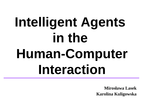# **Intelligent Agents**  in the **Human-Computer Interaction**

**Mirosława Lasek Karolina Kuligowska**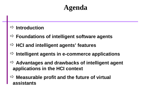### **Agenda**

### **Introduction**

- **Foundations of intelligent software agents**
- **HCI and intelligent agents' features**
- **Intelligent agents in e-commerce applications**
- **Advantages and drawbacks of intelligent agent applications in the HCI context**
- **Measurable profit and the future of virtual assistants**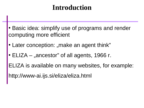### **Introduction**

- Basic idea: simplify use of programs and render computing more efficient
- Later conception: "make an agent think"
- $ELIZA -$  "ancestor" of all agents, 1966 r.
- ELIZA is available on many websites, for example:

http://www-ai.ijs.si/eliza/eliza.html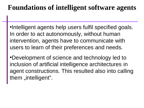### **Foundations of intelligent software agents**

•Intelligent agents help users fulfil specified goals. In order to act autonomously, without human intervention, agents have to communicate with users to learn of their preferences and needs.

•Development of science and technology led to inclusion of artificial intelligence architectures in agent constructions. This resulted also into calling them "intelligent".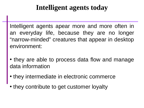### **Intelligent agents today**

Intelligent agents apear more and more often in an everyday life, because they are no longer "narrow-minded" creatures that appear in desktop environment:

- they are able to process data flow and manage data information
- they intermediate in electronic commerce
- they contribute to get customer loyalty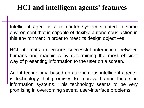### **HCI and intelligent agents' features**

Intelligent agent is a computer system situated in some environment that is capable of flexible autonomous action in this environment in order to meet its design objectives.

HCI attempts to ensure successful interaction between humans and machines by determining the most efficient way of presenting information to the user on a screen.

Agent technology, based on autonomous intelligent agents, is technology that promises to improve human factors in information systems. This technology seems to be very promising in overcoming several user-interface problems.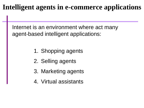### **Intelligent agents in e-commerce applications**

Internet is an environment where act many agent-based intelligent applications:

- 1. Shopping agents
- 2. Selling agents
- 3. Marketing agents
- 4. Virtual assistants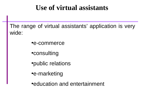### **Use of virtual assistants**

The range of virtual assistants' application is very wide:

- •e-commerce
- •consulting
- •public relations
- •e-marketing
- •education and entertainment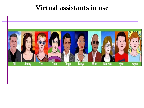### **Virtual assistants in use**

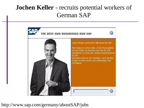### **Jochen Keller** - recruits potential workers of German SAP



#### http://www.sap.com/germany/aboutSAP/jobs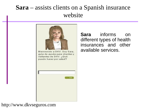### **Sara** – assists clients on a Spanish insurance website



**Sara** informs on different types of health insurances and other available services.

#### http://www.dkvseguros.com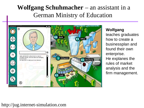### **Wolfgang Schuhmacher** – an assistant in a German Ministry of Education



#### **Wolfgang**

teaches graduates how to create a businessplan and found their own enterprise. He explanes the rules of market analysis and the firm management.

#### http://jug.internet-simulation.com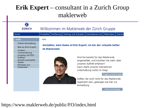### **Erik Expert** – consultant in a Zurich Group maklerweb

| <b>ZURICH</b>                |                                                                                     |  |  |                                         | Willkommen im Maklerweb der Zürich Gruppe                                   |                       |  |
|------------------------------|-------------------------------------------------------------------------------------|--|--|-----------------------------------------|-----------------------------------------------------------------------------|-----------------------|--|
| Home                         | Produkte                                                                            |  |  |                                         | Tarifierung   Vertrag und Schaden   Vertriebsservice   Materialien   Stando |                       |  |
| <del>v</del> Hilfe           | Hilfe                                                                               |  |  |                                         |                                                                             |                       |  |
| Online-Anmeldung             |                                                                                     |  |  |                                         |                                                                             |                       |  |
| Mail an Erik Expert          | Gestatten, mein Name ist Erik Expert, ich bin der virtuelle Helfer<br>im Maklerweb! |  |  |                                         |                                                                             |                       |  |
| System-<br>voraussetzung     |                                                                                     |  |  |                                         |                                                                             |                       |  |
| Umgang mit PDF-<br>Dateien   |                                                                                     |  |  |                                         | Sind Sie bereits für das Maklerweb                                          |                       |  |
| Ansicht animierter<br>Seiten |                                                                                     |  |  |                                         | angemeldet, und möchten Sie mehr über<br>unseren Auftritt erfahren?         |                       |  |
| Hinweise zur<br>Sicherheit   |                                                                                     |  |  |                                         | Dann steht unserer interaktiven                                             |                       |  |
|                              |                                                                                     |  |  |                                         | Unterhaltung nichts im Weg!                                                 |                       |  |
|                              |                                                                                     |  |  |                                         |                                                                             | Fragen an Erik Expert |  |
|                              | Sollten Sie noch nicht für das Maklerweb-                                           |  |  |                                         |                                                                             |                       |  |
|                              |                                                                                     |  |  | registriert sein, gelangen Sie hier zur |                                                                             |                       |  |
|                              |                                                                                     |  |  | Anmeldung.                              |                                                                             |                       |  |
|                              |                                                                                     |  |  |                                         |                                                                             | Online Anmeldung      |  |

#### https://www.maklerweb.de/public/FO/index.html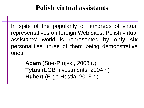### **Polish virtual assistants**

In spite of the popularity of hundreds of virtual representatives on foreign Web sites, Polish virtual assistants' world is represented by **only six** personalities, three of them being demonstrative ones.

> **Adam** (Ster-Projekt, 2003 r.) **Tytus** (EGB Investments, 2004 r.) **Hubert** (Ergo Hestia, 2005 r.)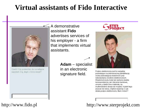### **Virtual assistants of Fido Interactive**



Cześć! Czy pozwolisz, że na wstępie zapytam Cię, skąd o mnie wiesz?

A demonstrative assistant **Fido** advertises services of his employer - a firm that implements virtual assistants.

> **Adam** – specialist in an electronic signature field.



Podpis elektroniczny jest to narzędzie pozwalające na jednoznaczną identyfikację osoby przesyłającej wiadomość przy wykorzystaniu środków elektronicznych. Wiadomością tą może być zarówno zwykła korespondencja, jak i zlecenie bankowe, umowa, a także inne materiały, np. multimedialne obrazy lub muzyka. A jeżeli tego jeszcze nie wiesz, chętnie wyjaśnię Ci jak działa podpis elektroniczny. Mam mówić?

http://www.fido.pl http://www.sterprojekt.com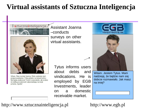### **Virtual assistants of Sztuczna Inteligencja**

sztucznainteligencja.pl



Witam. Mam na imię Joanna. Moim zadaniem jest przeprowadzenie z Tobą ankiety na temat botów. Nie będę analizować Twoich wypowiedzi, ale zrobisz mi wielka przyjemność odpowiadając na moje pytania, Zgoda?

Assistant Joanna –conducts surveys on other virtual assistants.

> Tytus informs users about debts and vindications. He is employed by EGB Investments, leader on a domestic receivable market.





Witam. Jestem Tytus. Mam nadzieję, że będzie nam się dobrze rozmawiało. Jak masz na imie?

#### http://www.sztucznainteligencja.pl

#### http://www.egb.pl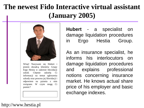## **The newest Fido Interactive virtual assistant (January 2005)**



Witaj! Nazywam się Hubert i jestem doradcą klientów Grupy Ergo Hestia w zakresie likwidacji szkód. Chętnie udzielę Ci informacji na temat zgłoszenia szkody oraz procesu jej likwidacji i odpowiem na pytania z nim związane. W czym mogę Ci pomóc?

**Hubert** - a specialist on damage liquidation procedures in Ergo Hestia Group.

As an insurance specialist, he informs his interlocutors on damage liquidation procedures and explains professional notions concerning insurance market. He knows actual share price of his employer and basic exchange indexes.

http://www.hestia.pl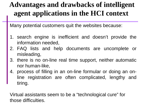### **Advantages and drawbacks of intelligent agent applications in the HCI context**

Many potential customers quit the websites because:

- 1. search engine is inefficient and doesn't provide the information needed,
- 2. FAQ lists and help documents are uncomplete or misleading,
- 3. there is no on-line real time support, neither automatic nor human-like,
- 4. process of filling in an on-line formular or doing an online registration are often complicated, lengthy and tiring.

Virtual assistants seem to be a "technological cure" for those difficulties.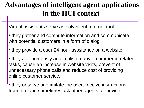### **Advantages of intelligent agent applications in the HCI context**

Virtual assistants serve as polyvalent Internet tool:

- they gather and compute information and communicate with potential customers in a form of dialog
- they provide a user 24 hour asssitance on a website
- they autonomously accomplish many e-commerce related tasks, cause an increase in website visits, prevent of unnecessary phone calls and reduce cost of providing online customer service.
- they observe and imitate the user, receive instructions from him and sometimes ask other agents for advice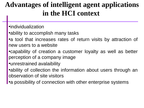### **Advantages of intelligent agent applications in the HCI context**

- •individualization
- ability to accomplish many tasks
- •a tool that increases rates of return visits by attraction of new users to a website
- •capability of creation a customer loyalty as well as better perception of a company image
- •unrestrained avalaibility
- •ability of collection the information about users through an observation of site visitors
- •a possibility of connection with other enterprise systems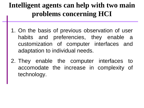### **Intelligent agents can help with two main problems concerning HCI**

- 1. On the basis of previous observation of user habits and preferencies, they enable a customization of computer interfaces and adaptation to individual needs.
- 2. They enable the computer interfaces to accomodate the increase in complexity of technology.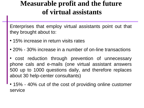### **Measurable profit and the future of virtual assistants**

Enterprises that employ virtual assistants point out that they brought about to:

- 15% increase in return visits rates
- 20% 30% increase in a number of on-line transactions

cost reduction through prevention of unnecessary phone cals and e-mails (one virtual assistant answers 500 up to 1000 questions daily, and therefore replaces about 30 help-center consultants)

15% - 40% cut of the cost of providing online customer service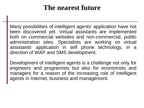### **The nearest future**

Many possibilities of intelligent agents' application have not been discovered yet. Virtual assistants are implemented both on commercial websites and non-commercial, public administration sites. Specialists are working on virtual assistants' application in self phone technology, in a direction of WAP and SMS development.

Development of intelligent agents is a challenge not only for engineers and programists but also for economists and managers for a reason of the increasing role of intelligent agents in Internet, business and management.